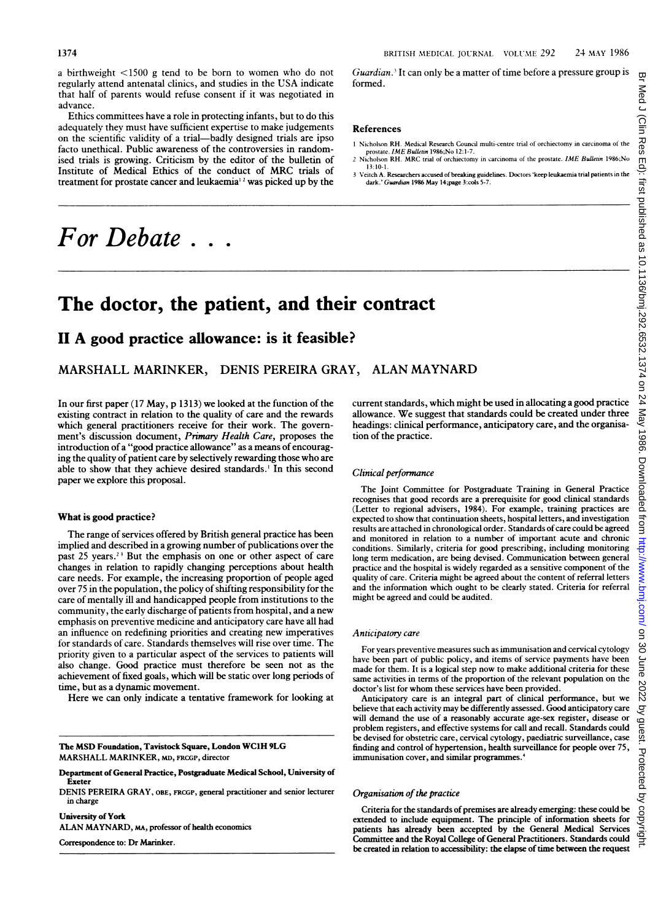a birthweight <1500 g tend to be born to women who do not regularly attend antenatal clinics, and studies in the USA indicate that half of parents would refuse consent if it was negotiated in advance.

Ethics committees have a role in protecting infants, but to do this adequately they must have sufficient expertise to make judgements on the scientific validity of a trial-badly designed trials are ipso facto unethical. Public awareness of the controversies in randomised trials is growing. Criticism by the editor of the bulletin of Institute of Medical Ethics of the conduct of MRC trials of treatment for prostate cancer and leukaemia<sup>12</sup> was picked up by the

# For Debate . .

Guardian.3 It can only be a matter of time before a pressure group is formed.

#### References

- <sup>I</sup> Nicholson RH. Medical Research Council multi-centre trial of orchiectomy in carcinoma of the prostate. IME Bulletin 1986;No 12:1-7.
- 2 Nicholson RH. MRC trial of orchiectomy in carcinoma of the prostate. IME Bulletin 1986;No 13:10-1.
- <sup>3</sup> Veitch A. Researchers accused of breaking guidelines. Doctors 'keep leukaenia trial patients in the dark.' Guarda 1986 May 14;page 3:cols 5-7.

# The doctor, the patient, and their contract

## II A good practice aliowance: is it feasible?

### MARSHALL MARINKER, DENIS PEREIRA GRAY, ALAN MAYNARD

In our first paper (17 May, p 1313) we looked at the function of the existing contract in relation to the quality of care and the rewards which general practitioners receive for their work. The government's discussion document, Primary Health Care, proposes the introduction of a "good practice allowance" as a means of encouraging the quality of patient care by selectively rewarding those who are able to show that they achieve desired standards.' In this second paper we explore this proposal.

#### What is good practice?

The range of services offered by British general practice has been implied and described in a growing number of publications over the past 25 years.<sup>23</sup> But the emphasis on one or other aspect of care changes in relation to rapidly changing perceptions about health care needs. For example, the increasing proportion of people aged over 75 in the population, the policy of shifting responsibility for the care of mentally ill and handicapped people from institutions to the community, the early discharge of patients from hospital, and a new emphasis on preventive medicine and anticipatory care have all had an influence on redefining priorities and creating new imperatives for standards of care. Standards themselves will rise over time. The priority given to a particular aspect of the services to patients will also change. Good practice must therefore be seen not as the achievement of fixed goals, which will be static over long periods of time, but as a dynamic movement.

Here we can only indicate a tentative framework for looking at

The MSD Foundation, Tavistock Square, London WC1H 9LG MARSHALL MARINKER, MD, FRcGP, director

Departmeat of General Practice, Postgrduate Medical School, University of Exeter

DENIS PEREIRA GRAY, ORE, FRcGP, general practitioner and senior lecturer in charge

#### University of York

ALAN MAYNARD, mA, professor of health economics

Correspondence to: Dr Marinker.

current standards, which might be used in allocating a good practice allowance. We suggest that standards could be created under three headings: clinical performance, anticipatory care, and the organisation of the practice.

#### Clinical performance

The Joint Committee for Postgraduate Training in General Practice recognises that good records are a prerequisite for good clinical standards (Letter to regional advisers, 1984). For example, training practices are expected to show that continuation sheets, hospital letters, and investigation results are attached in chronological order. Standards of care could be agreed and monitored in relation to a number of important acute and chronic conditions. Similarly, criteria for good prescribing, including monitoring long term medication, are being devised. Communication between general practice and the hospital is widely regarded as a sensitive component of the quality of care. Criteria might be agreed about the content of referral letters and the information which ought to be clearly stated. Criteria for referral might be agreed and could be audited.

#### Anticipatory care

For years preventive measures such as immunisation and cervical cytology have been part of public policy, and items of service payments have been made for them. It is a logical step now to make additional criteria for these same activities in terms of the proportion of the relevant population on the doctor's list for whom these services have been provided.

Anticipatory care is an integral part of clinical performance, but we believe that each activity may be differendy assessed. Good anticipatory care will demand the use of a reasonably accurate age-sex register, disease or problem registers, and effective systems for call and recall. Standards could be devised for obstetric care, cervical cytology, paediatric surveillance, case finding and control of hypertension, health surveillance for people over 75, immunisation cover, and similar programmes.<sup>4</sup>

#### Organisation of the practice

Criteria for the standards of premises are already emerging: these could be extended to include equipment. The principle of information sheets for patients has already been accepted by the General Medical Services Committee and the Royal College of General Practitioners. Standards could be created in relation to accessibility: the elapse of time between the request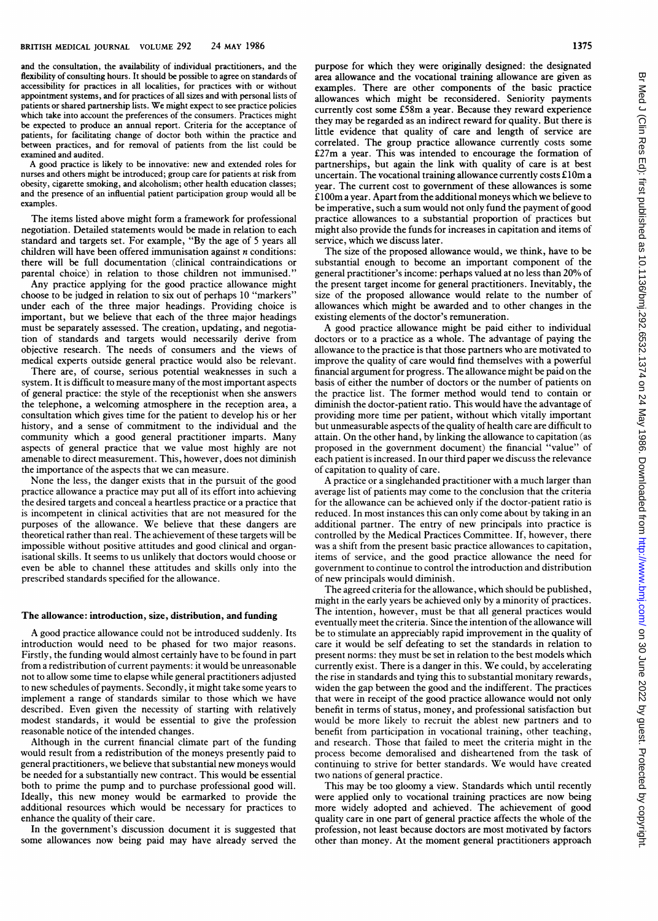and the consultation, the availability of individual practitioners, and the flexibility of consulting hours. It should be possible to agree on standards of accessibility for practices in all localities, for practices with or without appointment systems, and for practices of all sizes and with personal lists of patients or shared partnership lists. We might expect to see practice policies which take into account the preferences of the consumers. Practices might be expected to produce an annual report. Criteria for the acceptance of patients, for facilitating change of doctor both within the practice and between practices, and for removal of patients from the list could be examined and audited.

A good practice is likely to be innovative: new and extended roles for nurses and others might be introduced; group care for patients at risk from obesity, cigarette smoking, and alcoholism; other health education classes; and the presence of an influential patient participation group would all be examples.

The items listed above might form a framework for professional negotiation. Detailed statements would be made in relation to each standard and targets set. For example, "By the age of <sup>5</sup> years all children will have been offered immunisation against  $n$  conditions: there will be full documentation (clinical contraindications or parental choice) in relation to those children not immunised."

Any practice applying for the good practice allowance might choose to be judged in relation to six out of perhaps 10 "markers" under each of the three major headings. Providing choice is important, but we believe that each of the three major headings must be separately assessed. The creation, updating, and negotiation of standards and targets would necessarily derive from objective research. The needs of consumers and the views of medical experts outside general practice would also be relevant.

There are, of course, serious potential weaknesses in such a system. It is difficult to measure many of the most important aspects of general practice: the style of the receptionist when she answers the telephone, a welcoming atmosphere in the reception area, a consultation which gives time for the patient to develop his or her history, and a sense of commitment to the individual and the community which a good general practitioner imparts. Many aspects of general practice that we value most highly are not amenable to direct measurement. This, however, does not diminish the importance of the aspects that we can measure.

None the less, the danger exists that in the pursuit of the good practice allowance a practice may put all of its effort into achieving the desired targets and conceal a heartless practice or a practice that is incompetent in clinical activities that are not measured for the purposes of the allowance. We believe that these dangers are theoretical rather than real. The achievement of these targets will be impossible without positive attitudes and good clinical and organisational skills. It seems to us unlikely that doctors would choose or even be able to channel these attitudes and skills only into the prescribed standards specified for the allowance.

#### The allowance: introduction, size, distribution, and funding

A good practice allowance could not be introduced suddenly. Its introduction would need to be phased for two major reasons. Firstly, the funding would almost certainly have to be found in part from a redistribution of current payments: it would be unreasonable not to allow some time to elapse while general practitioners adjusted to new schedules of payments. Secondly, it might take some years to implement a range of standards similar to those which we have described. Even given the necessity of starting with relatively modest standards, it would be essential to give the profession reasonable notice of the intended changes.

Although in the current financial climate part of the funding would result from a redistribution of the moneys presently paid to general practitioners, we believe that substantial new moneys would be needed for <sup>a</sup> substantially new contract. This would be essential both to prime the pump and to purchase professional good will. Ideally, this new money would be earmarked to provide the additional resources which would be necessary for practices to enhance the quality of their care.

In the government's discussion document it is suggested that some allowances now being paid may have already served the

purpose for which they were originally designed: the designated area allowance and the vocational training allowance are given as examples. There are other components of the basic practice allowances which might be reconsidered. Seniority payments currently cost some £58m a year. Because they reward experience they may be regarded as an indirect reward for quality. But there is little evidence that quality of care and length of service are correlated. The group practice allowance currently costs some £27m a year. This was intended to encourage the formation of partnerships, but again the link with quality of care is at best uncertain. The vocational training allowance currently costs  $£10m$  a year. The current cost to government of these allowances is some £100m <sup>a</sup> year. Apart from the additional moneys which we believe to be imperative, such <sup>a</sup> sum would not only fund the payment of good practice allowances to a substantial proportion of practices but might also provide the funds for increases in capitation and items of service, which we discuss later.

The size of the proposed allowance would, we think, have to be substantial enough to become an important component of the general practitioner's income: perhaps valued at no less than 20% of the present target income for general practitioners. Inevitably, the size of the proposed allowance would relate to the number of allowances which might be awarded and to other changes in the existing elements of the doctor's remuneration.

A good practice allowance might be paid either to individual doctors or to <sup>a</sup> practice as <sup>a</sup> whole. The advantage of paying the allowance to the practice is that those partners who are motivated to improve the quality of care would find themselves with a powerful financial argument for progress. The allowance might be paid on the basis of either the number of doctors or the number of patients on the practice list. The former method would tend to contain or diminish the doctor-patient ratio. This would have the advantage of providing more time per patient, without which vitally important but unmeasurable aspects of the quality of health care are difficult to attain. On the other hand, by linking the allowance to capitation (as proposed in the government document) the financial "value" of each patient is increased. In our third paper we discuss the relevance of capitation to quality of care.

A practice or <sup>a</sup> singlehanded practitioner with <sup>a</sup> much larger than average list of patients may come to the conclusion that the criteria for the allowance can be achieved only if the doctor-patient ratio is reduced. In most instances this can only come about by taking in an additional partner. The entry of new principals into practice is controlled by the Medical Practices Committee. If, however, there was a shift from the present basic practice allowances to capitation, items of service, and the good practice allowance the need for government to continue to control the introduction and distribution of new principals would diminish.

The agreed criteria for the allowance, which should be published, might in the early years be achieved only by a minority of practices. The intention, however, must be that all general practices would eventually meet the criteria. Since the intention of the allowance will be to stimulate an appreciably rapid improvement in the quality of care it would be self defeating to set the standards in relation to present norms: they must be set in relation to the best models which currently exist. There is <sup>a</sup> danger in this. We could, by accelerating the rise in standards and tying this to substantial monitary rewards, widen the gap between the good and the indifferent. The practices that were in receipt of the good practice allowance would not only benefit in terms of status, money, and professional satisfaction but would be more likely to recruit the ablest new partners and to benefit from participation in vocational training, other teaching, and research. Those that failed to meet the criteria might in the process become demoralised and disheartened from the task of continuing to strive for better standards. We would have created two nations of general practice.

This may be too gloomy <sup>a</sup> view. Standards which until recently were applied only to vocational training practices are now being more widely adopted and achieved. The achievement of good quality care in one part of general practice affects the whole of the profession, not least because doctors are most motivated by factors other than money. At the moment general practitioners approach